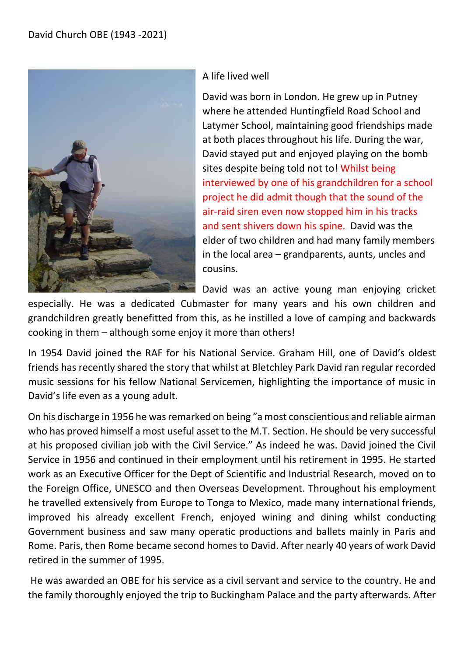

## A life lived well

David was born in London. He grew up in Putney where he attended Huntingfield Road School and Latymer School, maintaining good friendships made at both places throughout his life. During the war, David stayed put and enjoyed playing on the bomb sites despite being told not to! Whilst being interviewed by one of his grandchildren for a school project he did admit though that the sound of the air-raid siren even now stopped him in his tracks and sent shivers down his spine. David was the elder of two children and had many family members in the local area – grandparents, aunts, uncles and cousins.

David was an active young man enjoying cricket

especially. He was a dedicated Cubmaster for many years and his own children and grandchildren greatly benefitted from this, as he instilled a love of camping and backwards cooking in them – although some enjoy it more than others!

In 1954 David joined the RAF for his National Service. Graham Hill, one of David's oldest friends has recently shared the story that whilst at Bletchley Park David ran regular recorded music sessions for his fellow National Servicemen, highlighting the importance of music in David's life even as a young adult.

On his discharge in 1956 he was remarked on being "a most conscientious and reliable airman who has proved himself a most useful asset to the M.T. Section. He should be very successful at his proposed civilian job with the Civil Service." As indeed he was. David joined the Civil Service in 1956 and continued in their employment until his retirement in 1995. He started work as an Executive Officer for the Dept of Scientific and Industrial Research, moved on to the Foreign Office, UNESCO and then Overseas Development. Throughout his employment he travelled extensively from Europe to Tonga to Mexico, made many international friends, improved his already excellent French, enjoyed wining and dining whilst conducting Government business and saw many operatic productions and ballets mainly in Paris and Rome. Paris, then Rome became second homes to David. After nearly 40 years of work David retired in the summer of 1995.

 He was awarded an OBE for his service as a civil servant and service to the country. He and the family thoroughly enjoyed the trip to Buckingham Palace and the party afterwards. After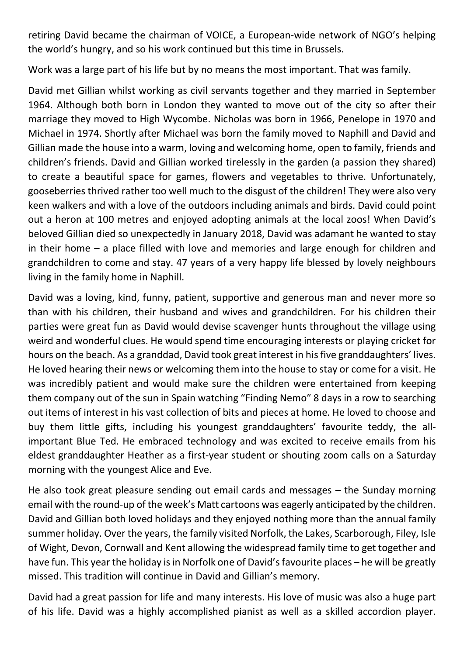retiring David became the chairman of VOICE, a European-wide network of NGO's helping the world's hungry, and so his work continued but this time in Brussels.

Work was a large part of his life but by no means the most important. That was family.

David met Gillian whilst working as civil servants together and they married in September 1964. Although both born in London they wanted to move out of the city so after their marriage they moved to High Wycombe. Nicholas was born in 1966, Penelope in 1970 and Michael in 1974. Shortly after Michael was born the family moved to Naphill and David and Gillian made the house into a warm, loving and welcoming home, open to family, friends and children's friends. David and Gillian worked tirelessly in the garden (a passion they shared) to create a beautiful space for games, flowers and vegetables to thrive. Unfortunately, gooseberries thrived rather too well much to the disgust of the children! They were also very keen walkers and with a love of the outdoors including animals and birds. David could point out a heron at 100 metres and enjoyed adopting animals at the local zoos! When David's beloved Gillian died so unexpectedly in January 2018, David was adamant he wanted to stay in their home – a place filled with love and memories and large enough for children and grandchildren to come and stay. 47 years of a very happy life blessed by lovely neighbours living in the family home in Naphill.

David was a loving, kind, funny, patient, supportive and generous man and never more so than with his children, their husband and wives and grandchildren. For his children their parties were great fun as David would devise scavenger hunts throughout the village using weird and wonderful clues. He would spend time encouraging interests or playing cricket for hours on the beach. As a granddad, David took great interest in his five granddaughters' lives. He loved hearing their news or welcoming them into the house to stay or come for a visit. He was incredibly patient and would make sure the children were entertained from keeping them company out of the sun in Spain watching "Finding Nemo" 8 days in a row to searching out items of interest in his vast collection of bits and pieces at home. He loved to choose and buy them little gifts, including his youngest granddaughters' favourite teddy, the allimportant Blue Ted. He embraced technology and was excited to receive emails from his eldest granddaughter Heather as a first-year student or shouting zoom calls on a Saturday morning with the youngest Alice and Eve.

He also took great pleasure sending out email cards and messages – the Sunday morning email with the round-up of the week's Matt cartoons was eagerly anticipated by the children. David and Gillian both loved holidays and they enjoyed nothing more than the annual family summer holiday. Over the years, the family visited Norfolk, the Lakes, Scarborough, Filey, Isle of Wight, Devon, Cornwall and Kent allowing the widespread family time to get together and have fun. This year the holiday is in Norfolk one of David's favourite places – he will be greatly missed. This tradition will continue in David and Gillian's memory.

David had a great passion for life and many interests. His love of music was also a huge part of his life. David was a highly accomplished pianist as well as a skilled accordion player.